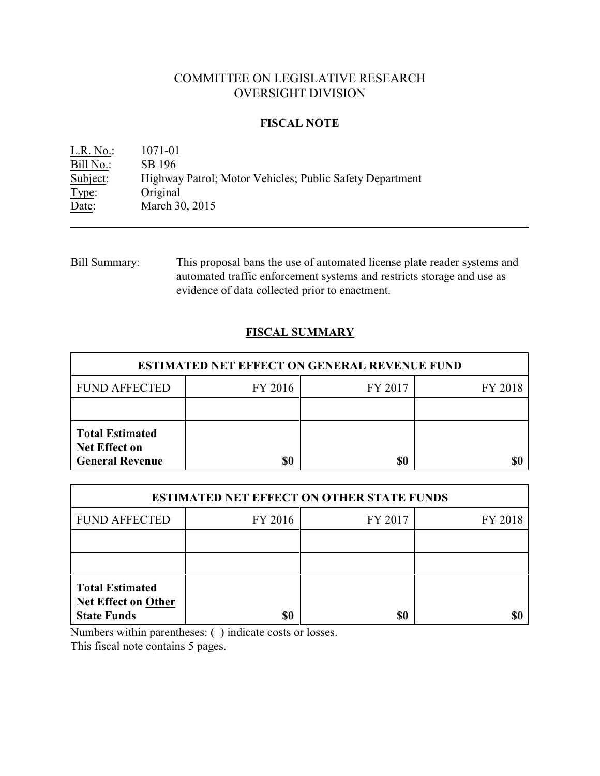# COMMITTEE ON LEGISLATIVE RESEARCH OVERSIGHT DIVISION

### **FISCAL NOTE**

L.R. No.: 1071-01 Bill No.: SB 196<br>Subject: Highwa Highway Patrol; Motor Vehicles; Public Safety Department Type: Original Date: March 30, 2015

Bill Summary: This proposal bans the use of automated license plate reader systems and automated traffic enforcement systems and restricts storage and use as evidence of data collected prior to enactment.

## **FISCAL SUMMARY**

| <b>ESTIMATED NET EFFECT ON GENERAL REVENUE FUND</b>                      |         |         |         |  |
|--------------------------------------------------------------------------|---------|---------|---------|--|
| <b>FUND AFFECTED</b>                                                     | FY 2016 | FY 2017 | FY 2018 |  |
|                                                                          |         |         |         |  |
| <b>Total Estimated</b><br><b>Net Effect on</b><br><b>General Revenue</b> | \$0     | \$0     |         |  |

| <b>ESTIMATED NET EFFECT ON OTHER STATE FUNDS</b>                           |         |         |         |  |  |
|----------------------------------------------------------------------------|---------|---------|---------|--|--|
| <b>FUND AFFECTED</b>                                                       | FY 2016 | FY 2017 | FY 2018 |  |  |
|                                                                            |         |         |         |  |  |
|                                                                            |         |         |         |  |  |
| <b>Total Estimated</b><br><b>Net Effect on Other</b><br><b>State Funds</b> | \$0     | \$0     |         |  |  |

Numbers within parentheses: ( ) indicate costs or losses.

This fiscal note contains 5 pages.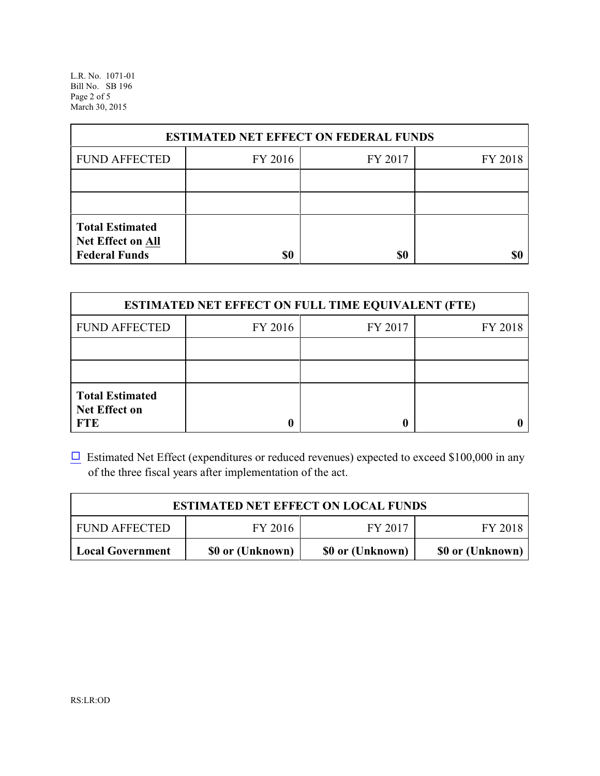L.R. No. 1071-01 Bill No. SB 196 Page 2 of 5 March 30, 2015

| <b>ESTIMATED NET EFFECT ON FEDERAL FUNDS</b>                        |         |         |         |  |  |
|---------------------------------------------------------------------|---------|---------|---------|--|--|
| <b>FUND AFFECTED</b>                                                | FY 2016 | FY 2017 | FY 2018 |  |  |
|                                                                     |         |         |         |  |  |
|                                                                     |         |         |         |  |  |
| <b>Total Estimated</b><br>Net Effect on All<br><b>Federal Funds</b> | \$0     | \$0     |         |  |  |

| <b>ESTIMATED NET EFFECT ON FULL TIME EQUIVALENT (FTE)</b>    |         |         |         |  |
|--------------------------------------------------------------|---------|---------|---------|--|
| <b>FUND AFFECTED</b>                                         | FY 2016 | FY 2017 | FY 2018 |  |
|                                                              |         |         |         |  |
|                                                              |         |         |         |  |
| <b>Total Estimated</b><br><b>Net Effect on</b><br><b>FTE</b> |         |         |         |  |

 $\Box$  Estimated Net Effect (expenditures or reduced revenues) expected to exceed \$100,000 in any of the three fiscal years after implementation of the act.

| <b>ESTIMATED NET EFFECT ON LOCAL FUNDS</b> |                  |                  |                  |
|--------------------------------------------|------------------|------------------|------------------|
| <b>FUND AFFECTED</b>                       | FY 2016          | FY 2017          | FY 2018          |
| <b>Local Government</b>                    | \$0 or (Unknown) | \$0 or (Unknown) | \$0 or (Unknown) |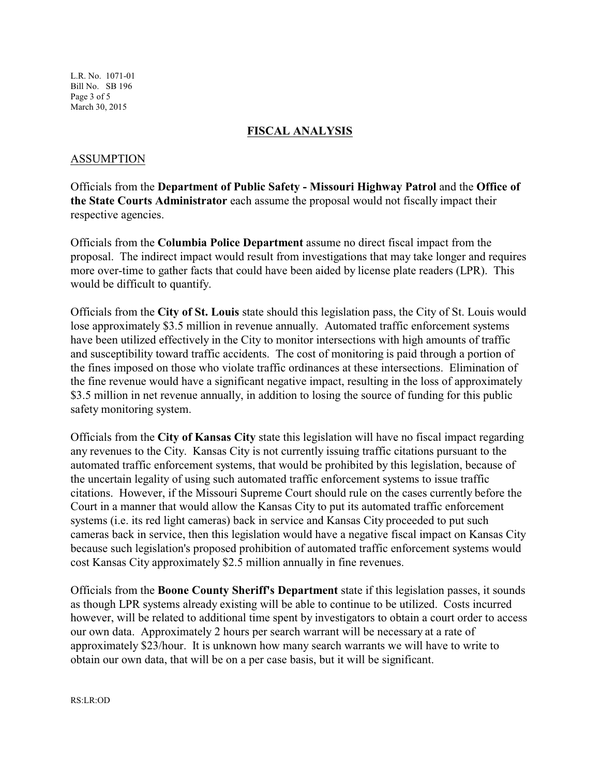L.R. No. 1071-01 Bill No. SB 196 Page 3 of 5 March 30, 2015

#### **FISCAL ANALYSIS**

#### ASSUMPTION

Officials from the **Department of Public Safety - Missouri Highway Patrol** and the **Office of the State Courts Administrator** each assume the proposal would not fiscally impact their respective agencies.

Officials from the **Columbia Police Department** assume no direct fiscal impact from the proposal. The indirect impact would result from investigations that may take longer and requires more over-time to gather facts that could have been aided by license plate readers (LPR). This would be difficult to quantify.

Officials from the **City of St. Louis** state should this legislation pass, the City of St. Louis would lose approximately \$3.5 million in revenue annually. Automated traffic enforcement systems have been utilized effectively in the City to monitor intersections with high amounts of traffic and susceptibility toward traffic accidents. The cost of monitoring is paid through a portion of the fines imposed on those who violate traffic ordinances at these intersections. Elimination of the fine revenue would have a significant negative impact, resulting in the loss of approximately \$3.5 million in net revenue annually, in addition to losing the source of funding for this public safety monitoring system.

Officials from the **City of Kansas City** state this legislation will have no fiscal impact regarding any revenues to the City. Kansas City is not currently issuing traffic citations pursuant to the automated traffic enforcement systems, that would be prohibited by this legislation, because of the uncertain legality of using such automated traffic enforcement systems to issue traffic citations. However, if the Missouri Supreme Court should rule on the cases currently before the Court in a manner that would allow the Kansas City to put its automated traffic enforcement systems (i.e. its red light cameras) back in service and Kansas City proceeded to put such cameras back in service, then this legislation would have a negative fiscal impact on Kansas City because such legislation's proposed prohibition of automated traffic enforcement systems would cost Kansas City approximately \$2.5 million annually in fine revenues.

Officials from the **Boone County Sheriff's Department** state if this legislation passes, it sounds as though LPR systems already existing will be able to continue to be utilized. Costs incurred however, will be related to additional time spent by investigators to obtain a court order to access our own data. Approximately 2 hours per search warrant will be necessary at a rate of approximately \$23/hour. It is unknown how many search warrants we will have to write to obtain our own data, that will be on a per case basis, but it will be significant.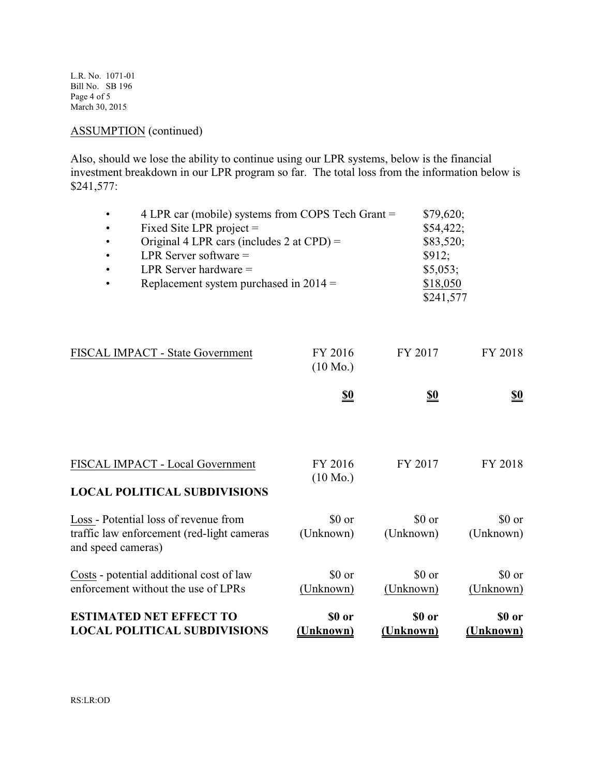L.R. No. 1071-01 Bill No. SB 196 Page 4 of 5 March 30, 2015

## ASSUMPTION (continued)

Also, should we lose the ability to continue using our LPR systems, below is the financial investment breakdown in our LPR program so far. The total loss from the information below is \$241,577:

| $\bullet$ | 4 LPR car (mobile) systems from COPS Tech Grant = | \$79,620;   |
|-----------|---------------------------------------------------|-------------|
| $\bullet$ | Fixed Site LPR project $=$                        | \$54,422;   |
| $\bullet$ | Original 4 LPR cars (includes 2 at $CPD$ ) =      | $$83,520$ ; |
| $\bullet$ | LPR Server software $=$                           | \$912;      |
| $\bullet$ | LPR Server hardware $=$                           | \$5,053;    |
| $\bullet$ | Replacement system purchased in $2014 =$          | \$18,050    |
|           |                                                   | \$241,577   |

| FISCAL IMPACT - State Government                                                                          | FY 2016<br>$(10 \text{ Mo.})$ | FY 2017             | FY 2018             |
|-----------------------------------------------------------------------------------------------------------|-------------------------------|---------------------|---------------------|
|                                                                                                           | <u>\$0</u>                    | <u>\$0</u>          | <u>\$0</u>          |
| FISCAL IMPACT - Local Government                                                                          | FY 2016<br>$(10 \text{ Mo.})$ | FY 2017             | FY 2018             |
| <b>LOCAL POLITICAL SUBDIVISIONS</b>                                                                       |                               |                     |                     |
| Loss - Potential loss of revenue from<br>traffic law enforcement (red-light cameras<br>and speed cameras) | \$0 or<br>(Unknown)           | \$0 or<br>(Unknown) | \$0 or<br>(Unknown) |
| Costs - potential additional cost of law<br>enforcement without the use of LPRs                           | \$0 or<br>(Unknown)           | \$0 or<br>(Unknown) | \$0 or<br>(Unknown) |
| <b>ESTIMATED NET EFFECT TO</b><br><b>LOCAL POLITICAL SUBDIVISIONS</b>                                     | \$0 or<br>(Unknown)           | \$0 or<br>(Unknown  | \$0 or<br>(Unknown) |